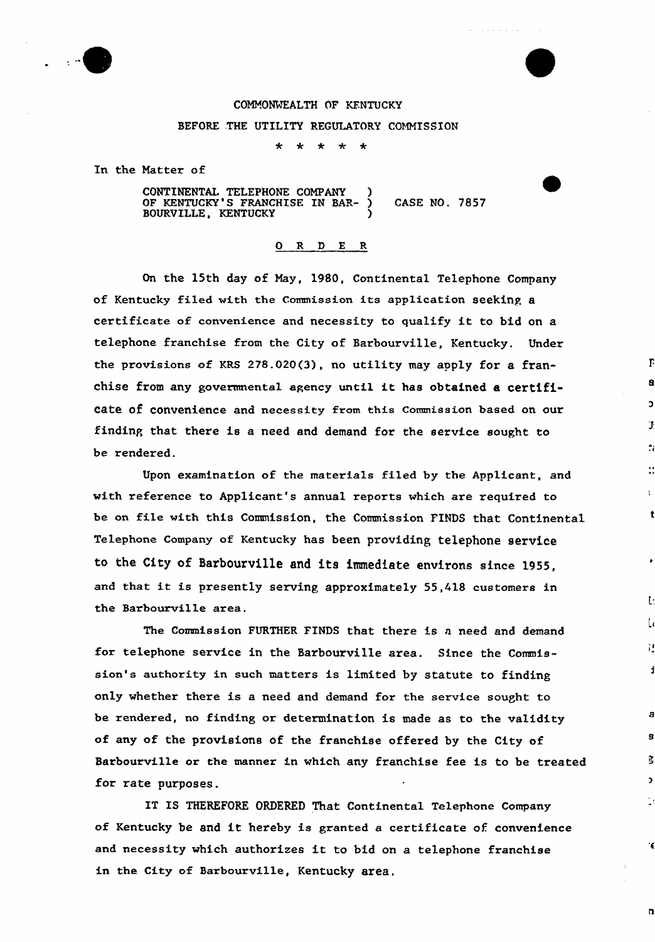

## COMMONVEALTH OF KENTUCKY BEFORE .THE UTILITY REGULATORY COMMISSION

 $\alpha$  ,  $\alpha$  ,  $\alpha$  ,  $\alpha$  ,  $\alpha$  ,  $\alpha$ 

E

Ŀ

;

 $\overline{\mathbf{n}}$ 

 $\frac{1}{2}$   $\frac{1}{2}$   $\frac{1}{2}$   $\frac{1}{2}$   $\frac{1}{2}$  $\mathbf{r}$ 

In the Matter of

CONTINENTAL TELEPHONE COMPANY ) OF KENTUCKY'S FRANCHISE IN BAR- ) CASE NO. 7857 BOURVILLE, KENTUCKY (1988)

## 0 R <sup>D</sup> E R

On the 15th day of May, 1980, Continental Telephone Company of Kentucky filed with the Commission its application seeking a certificate of convenience and necessity to qualify it to bid on <sup>a</sup> telephone franchise from the City of Barbourville, Kentucky. Under the provisions of KRS 2?8.020(3), no utility may apply for a franchise from any govermnental agency until it has obtained <sup>a</sup> certificate of convenience and necessity from this Commission based on our finding that there is a need and demand for the sexvice sought to be rendered.

Upon examination of the materials filed by the Applicant, and with reference to Applicant's annual reports which are required to be on file with this Commission, the Commission FINDS that Continental Telephone Company of Kentucky has been providing telephone service to the City of Barbourville and its immediate environs since 1955, and that it is presently serving approximately 55,418 customers in the Barbourville area.

The Commission FURTHER FINDS that there is a need and demand fox telephone service in the Barbourville area. Since the Commission's authority in such matters is limited by statute to finding only whether there is a need and demand for the service sought to be rendered, no finding or determination is made as to the validity of any of the provisions of the franchise offered by the City of Barbourville or the manner in which any franchise fee is to be treated for rate purposes.

IT IS THEREFORE ORDERED That Continental Telephone Company of Kentucky be and it hereby is granted <sup>a</sup> certificate of convenience and necessity which authorizes it to bid on <sup>a</sup> telephone franchise in the City of Barbourville, Kentucky area,